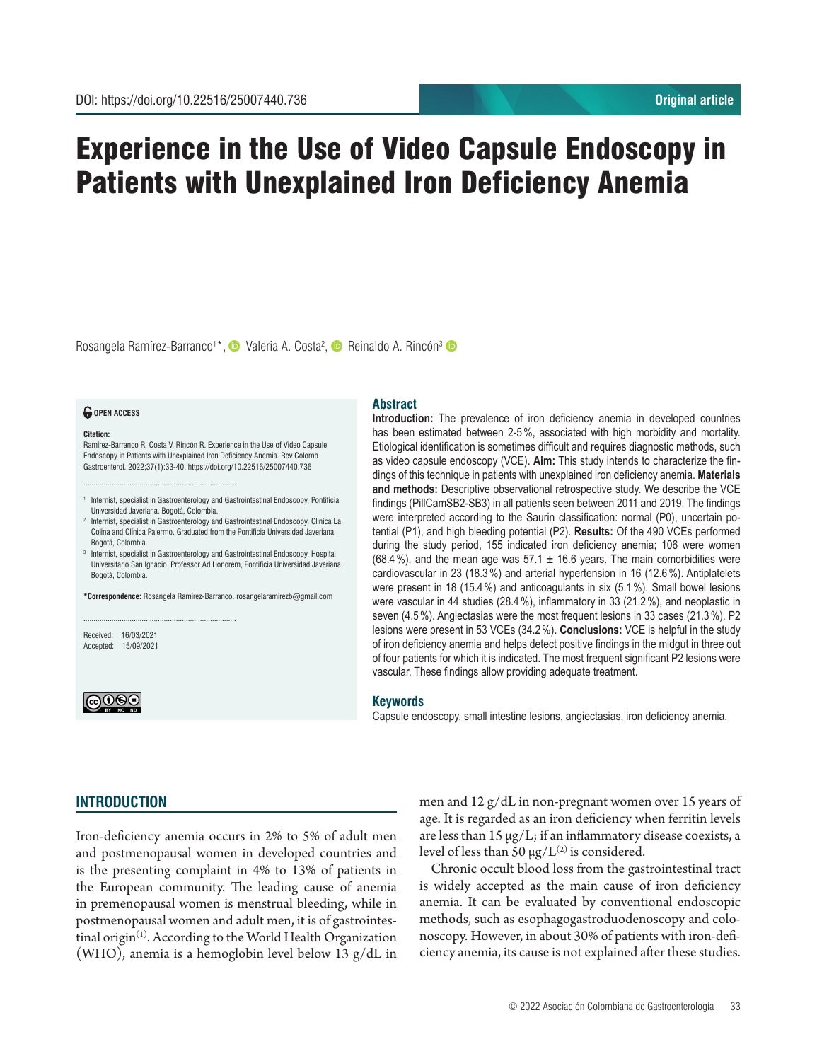# Experience in the Use of Video Capsule Endoscopy in Patients with Unexplained Iron Deficiency Anemia

Rosangela Ramírez-Barranco<sup>1\*</sup>, © Valeria A. Costa<sup>2</sup>, © Reinaldo A. Rincón<sup>3</sup>

#### *<u>O</del>* OPEN ACCESS</u>

#### **Citation:**

Ramírez-Barranco R, Costa V, Rincón R. Experience in the Use of Video Capsule Endoscopy in Patients with Unexplained Iron Deficiency Anemia. Rev Colomb Gastroenterol. 2022;37(1):33-40. https://doi.org/10.22516/25007440.736

............................................................................

............................................................................

<sup>1</sup> Internist, specialist in Gastroenterology and Gastrointestinal Endoscopy, Pontificia Universidad Javeriana. Bogotá, Colombia.

<sup>2</sup> Internist, specialist in Gastroenterology and Gastrointestinal Endoscopy, Clínica La Colina and Clínica Palermo. Graduated from the Pontificia Universidad Javeriana. Bogotá, Colombia.

<sup>3</sup> Internist, specialist in Gastroenterology and Gastrointestinal Endoscopy, Hospital Universitario San Ignacio. Professor Ad Honorem, Pontificia Universidad Javeriana. Bogotá, Colombia.

**\*Correspondence:** Rosangela Ramírez-Barranco. rosangelaramirezb@gmail.com

Received: 16/03/2021 Accepted: 15/09/2021



# **Abstract**

**Introduction:** The prevalence of iron deficiency anemia in developed countries has been estimated between 2-5%, associated with high morbidity and mortality. Etiological identification is sometimes difficult and requires diagnostic methods, such as video capsule endoscopy (VCE). **Aim:** This study intends to characterize the findings of this technique in patients with unexplained iron deficiency anemia. **Materials and methods:** Descriptive observational retrospective study. We describe the VCE findings (PillCamSB2-SB3) in all patients seen between 2011 and 2019. The findings were interpreted according to the Saurin classification: normal (P0), uncertain potential (P1), and high bleeding potential (P2). **Results:** Of the 490 VCEs performed during the study period, 155 indicated iron deficiency anemia; 106 were women (68.4%), and the mean age was 57.1  $\pm$  16.6 years. The main comorbidities were cardiovascular in 23 (18.3%) and arterial hypertension in 16 (12.6%). Antiplatelets were present in 18 (15.4%) and anticoagulants in six (5.1%). Small bowel lesions were vascular in 44 studies (28.4%), inflammatory in 33 (21.2%), and neoplastic in seven (4.5%). Angiectasias were the most frequent lesions in 33 cases (21.3%). P2 lesions were present in 53 VCEs (34.2%). **Conclusions:** VCE is helpful in the study of iron deficiency anemia and helps detect positive findings in the midgut in three out of four patients for which it is indicated. The most frequent significant P2 lesions were vascular. These findings allow providing adequate treatment.

#### **Keywords**

Capsule endoscopy, small intestine lesions, angiectasias, iron deficiency anemia.

# **INTRODUCTION**

Iron-deficiency anemia occurs in 2% to 5% of adult men and postmenopausal women in developed countries and is the presenting complaint in 4% to 13% of patients in the European community. The leading cause of anemia in premenopausal women is menstrual bleeding, while in postmenopausal women and adult men, it is of gastrointestinal origin<sup>(1)</sup>. According to the World Health Organization (WHO), anemia is a hemoglobin level below 13 g/dL in men and 12 g/dL in non-pregnant women over 15 years of age. It is regarded as an iron deficiency when ferritin levels are less than  $15 \mu g/L$ ; if an inflammatory disease coexists, a level of less than 50  $\mu$ g/L<sup>(2)</sup> is considered.

Chronic occult blood loss from the gastrointestinal tract is widely accepted as the main cause of iron deficiency anemia. It can be evaluated by conventional endoscopic methods, such as esophagogastroduodenoscopy and colonoscopy. However, in about 30% of patients with iron-deficiency anemia, its cause is not explained after these studies.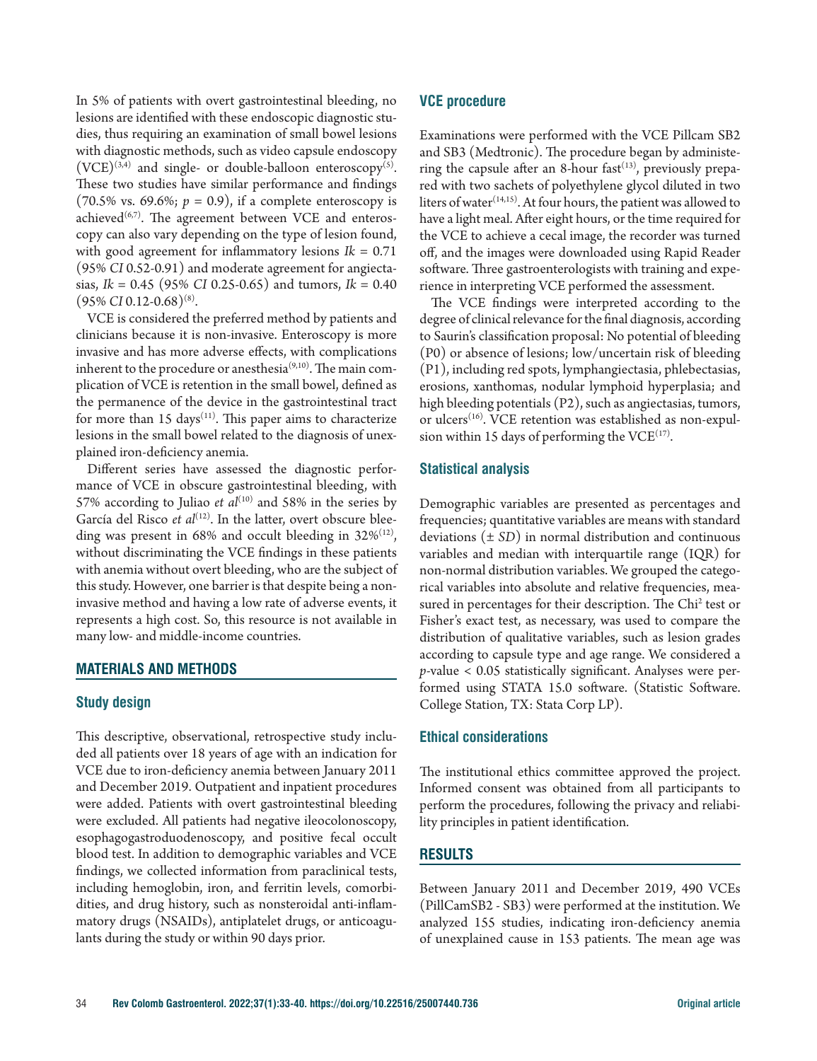In 5% of patients with overt gastrointestinal bleeding, no lesions are identified with these endoscopic diagnostic studies, thus requiring an examination of small bowel lesions with diagnostic methods, such as video capsule endoscopy  $(VCE)^{(3,4)}$  and single- or double-balloon enteroscopy<sup>(5)</sup>. These two studies have similar performance and findings  $(70.5\% \text{ vs. } 69.6\%; p = 0.9)$ , if a complete enteroscopy is achieved $(6,7)$ . The agreement between VCE and enteroscopy can also vary depending on the type of lesion found, with good agreement for inflammatory lesions  $Ik = 0.71$ (95% *CI* 0.52-0.91) and moderate agreement for angiectasias, *Ik* = 0.45 (95% *CI* 0.25-0.65) and tumors, *Ik* = 0.40 (95% *CI* 0.12-0.68)(8).

VCE is considered the preferred method by patients and clinicians because it is non-invasive. Enteroscopy is more invasive and has more adverse effects, with complications inherent to the procedure or anesthesia $(9,10)$ . The main complication of VCE is retention in the small bowel, defined as the permanence of the device in the gastrointestinal tract for more than 15 days<sup>(11)</sup>. This paper aims to characterize lesions in the small bowel related to the diagnosis of unexplained iron-deficiency anemia.

Different series have assessed the diagnostic performance of VCE in obscure gastrointestinal bleeding, with 57% according to Juliao *et al*<sup>(10)</sup> and 58% in the series by García del Risco et al<sup>(12)</sup>. In the latter, overt obscure bleeding was present in 68% and occult bleeding in  $32\%/12}$ , without discriminating the VCE findings in these patients with anemia without overt bleeding, who are the subject of this study. However, one barrier is that despite being a noninvasive method and having a low rate of adverse events, it represents a high cost. So, this resource is not available in many low- and middle-income countries.

# **MATERIALS AND METHODS**

# **Study design**

This descriptive, observational, retrospective study included all patients over 18 years of age with an indication for VCE due to iron-deficiency anemia between January 2011 and December 2019. Outpatient and inpatient procedures were added. Patients with overt gastrointestinal bleeding were excluded. All patients had negative ileocolonoscopy, esophagogastroduodenoscopy, and positive fecal occult blood test. In addition to demographic variables and VCE findings, we collected information from paraclinical tests, including hemoglobin, iron, and ferritin levels, comorbidities, and drug history, such as nonsteroidal anti-inflammatory drugs (NSAIDs), antiplatelet drugs, or anticoagulants during the study or within 90 days prior.

# **VCE procedure**

Examinations were performed with the VCE Pillcam SB2 and SB3 (Medtronic). The procedure began by administering the capsule after an 8-hour fast $(13)$ , previously prepared with two sachets of polyethylene glycol diluted in two liters of water<sup>(14,15)</sup>. At four hours, the patient was allowed to have a light meal. After eight hours, or the time required for the VCE to achieve a cecal image, the recorder was turned off, and the images were downloaded using Rapid Reader software. Three gastroenterologists with training and experience in interpreting VCE performed the assessment.

The VCE findings were interpreted according to the degree of clinical relevance for the final diagnosis, according to Saurin's classification proposal: No potential of bleeding (P0) or absence of lesions; low/uncertain risk of bleeding (P1), including red spots, lymphangiectasia, phlebectasias, erosions, xanthomas, nodular lymphoid hyperplasia; and high bleeding potentials (P2), such as angiectasias, tumors, or ulcers<sup>(16)</sup>. VCE retention was established as non-expulsion within 15 days of performing the  $VCE^{(17)}$ .

### **Statistical analysis**

Demographic variables are presented as percentages and frequencies; quantitative variables are means with standard deviations (± *SD*) in normal distribution and continuous variables and median with interquartile range (IQR) for non-normal distribution variables. We grouped the categorical variables into absolute and relative frequencies, measured in percentages for their description. The Chi<sup>2</sup> test or Fisher's exact test, as necessary, was used to compare the distribution of qualitative variables, such as lesion grades according to capsule type and age range. We considered a *p*-value < 0.05 statistically significant. Analyses were performed using STATA 15.0 software. (Statistic Software. College Station, TX: Stata Corp LP).

# **Ethical considerations**

The institutional ethics committee approved the project. Informed consent was obtained from all participants to perform the procedures, following the privacy and reliability principles in patient identification.

# **RESULTS**

Between January 2011 and December 2019, 490 VCEs (PillCamSB2 - SB3) were performed at the institution. We analyzed 155 studies, indicating iron-deficiency anemia of unexplained cause in 153 patients. The mean age was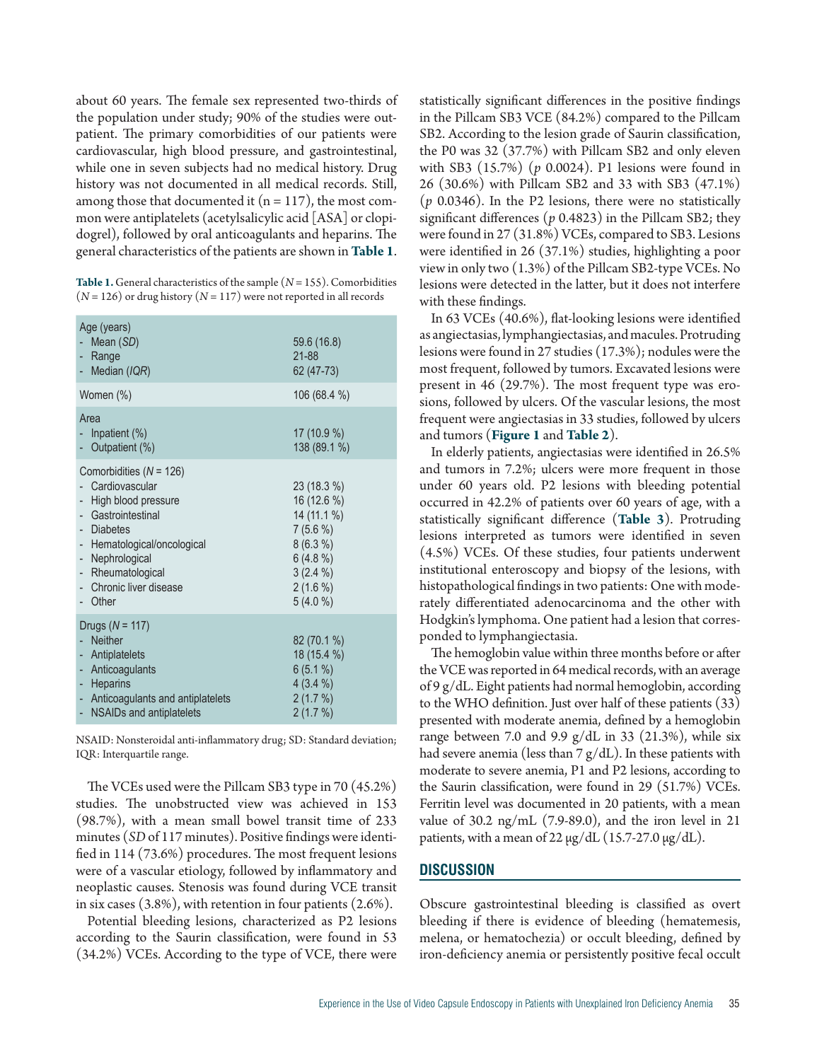about 60 years. The female sex represented two-thirds of the population under study; 90% of the studies were outpatient. The primary comorbidities of our patients were cardiovascular, high blood pressure, and gastrointestinal, while one in seven subjects had no medical history. Drug history was not documented in all medical records. Still, among those that documented it  $(n = 117)$ , the most common were antiplatelets (acetylsalicylic acid [ASA] or clopidogrel), followed by oral anticoagulants and heparins. The general characteristics of the patients are shown in **Table 1**.

**Table 1.** General characteristics of the sample  $(N = 155)$ . Comorbidities  $(N = 126)$  or drug history  $(N = 117)$  were not reported in all records

| Age (years)<br>Mean (SD)<br>Range<br>Median (IQR)                                                                                                                                                                     | 59.6 (16.8)<br>21-88<br>62 (47-73)                                                                                            |
|-----------------------------------------------------------------------------------------------------------------------------------------------------------------------------------------------------------------------|-------------------------------------------------------------------------------------------------------------------------------|
| Women (%)                                                                                                                                                                                                             | 106 (68.4 %)                                                                                                                  |
| Area<br>Inpatient $(\%)$<br>Outpatient (%)                                                                                                                                                                            | 17 (10.9 %)<br>138 (89.1 %)                                                                                                   |
| Comorbidities $(N = 126)$<br>Cardiovascular<br>High blood pressure<br>- Gastrointestinal<br>- Diabetes<br>- Hematological/oncological<br>Nephrological<br>÷.<br>- Rheumatological<br>Chronic liver disease<br>- Other | 23 (18.3 %)<br>16 (12.6 %)<br>14 (11.1 %)<br>$7(5.6\%)$<br>$8(6.3\%)$<br>$6(4.8\%)$<br>$3(2.4\%)$<br>$2(1.6\%)$<br>$5(4.0\%)$ |
| Drugs $(N = 117)$<br><b>Neither</b><br>Antiplatelets<br>Anticoagulants<br><b>Heparins</b><br>- Anticoagulants and antiplatelets<br>- NSAIDs and antiplatelets                                                         | 82 (70.1 %)<br>18 (15.4 %)<br>$6(5.1\%)$<br>$4(3.4\%)$<br>$2(1.7\%)$<br>2(1.7%)                                               |

NSAID: Nonsteroidal anti-inflammatory drug; SD: Standard deviation; IQR: Interquartile range.

The VCEs used were the Pillcam SB3 type in 70 (45.2%) studies. The unobstructed view was achieved in 153 (98.7%), with a mean small bowel transit time of 233 minutes (*SD* of 117 minutes). Positive findings were identified in 114 (73.6%) procedures. The most frequent lesions were of a vascular etiology, followed by inflammatory and neoplastic causes. Stenosis was found during VCE transit in six cases  $(3.8\%)$ , with retention in four patients  $(2.6\%)$ .

Potential bleeding lesions, characterized as P2 lesions according to the Saurin classification, were found in 53 (34.2%) VCEs. According to the type of VCE, there were statistically significant differences in the positive findings in the Pillcam SB3 VCE (84.2%) compared to the Pillcam SB2. According to the lesion grade of Saurin classification, the P0 was 32 (37.7%) with Pillcam SB2 and only eleven with SB3 (15.7%) (*p* 0.0024). P1 lesions were found in 26 (30.6%) with Pillcam SB2 and 33 with SB3 (47.1%) (*p* 0.0346). In the P2 lesions, there were no statistically significant differences (*p* 0.4823) in the Pillcam SB2; they were found in 27 (31.8%) VCEs, compared to SB3. Lesions were identified in 26 (37.1%) studies, highlighting a poor view in only two (1.3%) of the Pillcam SB2-type VCEs. No lesions were detected in the latter, but it does not interfere with these findings.

In 63 VCEs (40.6%), flat-looking lesions were identified as angiectasias, lymphangiectasias, and macules. Protruding lesions were found in 27 studies (17.3%); nodules were the most frequent, followed by tumors. Excavated lesions were present in 46 (29.7%). The most frequent type was erosions, followed by ulcers. Of the vascular lesions, the most frequent were angiectasias in 33 studies, followed by ulcers and tumors (**Figure 1** and **Table 2**).

In elderly patients, angiectasias were identified in 26.5% and tumors in 7.2%; ulcers were more frequent in those under 60 years old. P2 lesions with bleeding potential occurred in 42.2% of patients over 60 years of age, with a statistically significant difference (**Table 3**). Protruding lesions interpreted as tumors were identified in seven (4.5%) VCEs. Of these studies, four patients underwent institutional enteroscopy and biopsy of the lesions, with histopathological findings in two patients: One with moderately differentiated adenocarcinoma and the other with Hodgkin's lymphoma. One patient had a lesion that corresponded to lymphangiectasia.

The hemoglobin value within three months before or after the VCE was reported in 64 medical records, with an average of 9 g/dL. Eight patients had normal hemoglobin, according to the WHO definition. Just over half of these patients (33) presented with moderate anemia, defined by a hemoglobin range between 7.0 and 9.9  $g/dL$  in 33 (21.3%), while six had severe anemia (less than  $7 g/dL$ ). In these patients with moderate to severe anemia, P1 and P2 lesions, according to the Saurin classification, were found in 29 (51.7%) VCEs. Ferritin level was documented in 20 patients, with a mean value of 30.2 ng/mL (7.9-89.0), and the iron level in 21 patients, with a mean of 22  $\mu$ g/dL (15.7-27.0  $\mu$ g/dL).

# **DISCUSSION**

Obscure gastrointestinal bleeding is classified as overt bleeding if there is evidence of bleeding (hematemesis, melena, or hematochezia) or occult bleeding, defined by iron-deficiency anemia or persistently positive fecal occult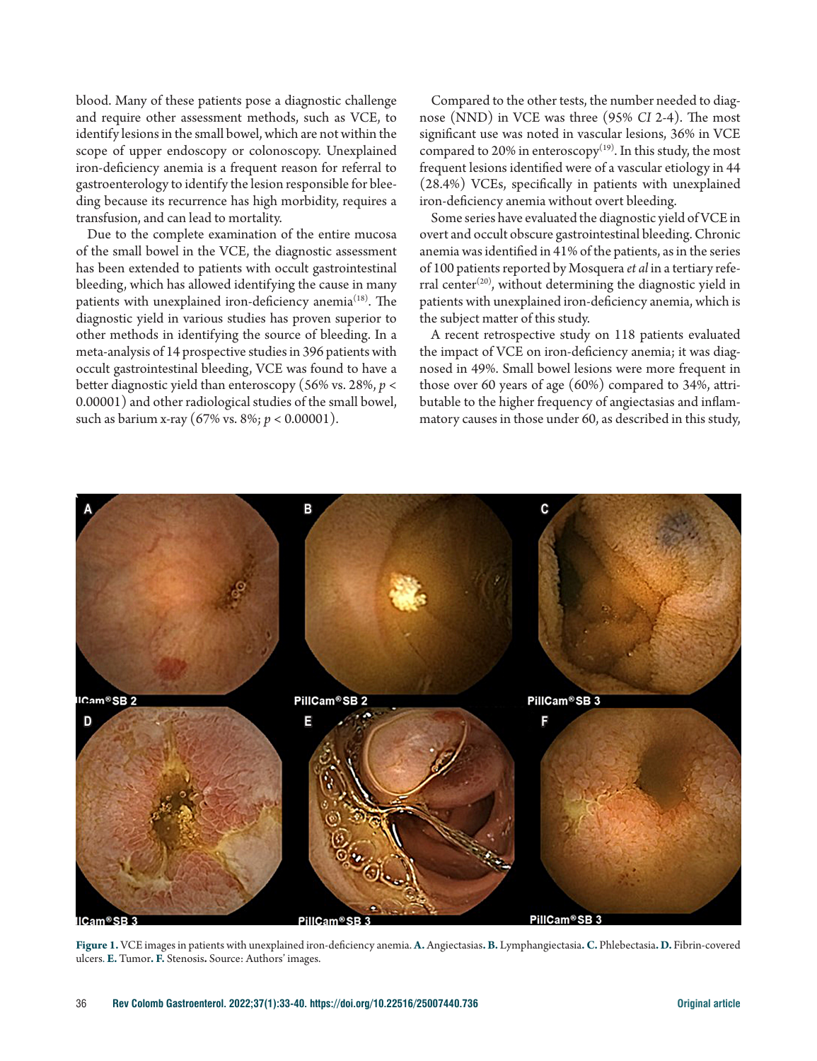blood. Many of these patients pose a diagnostic challenge and require other assessment methods, such as VCE, to identify lesions in the small bowel, which are not within the scope of upper endoscopy or colonoscopy. Unexplained iron-deficiency anemia is a frequent reason for referral to gastroenterology to identify the lesion responsible for bleeding because its recurrence has high morbidity, requires a transfusion, and can lead to mortality.

Due to the complete examination of the entire mucosa of the small bowel in the VCE, the diagnostic assessment has been extended to patients with occult gastrointestinal bleeding, which has allowed identifying the cause in many patients with unexplained iron-deficiency anemia<sup>(18)</sup>. The diagnostic yield in various studies has proven superior to other methods in identifying the source of bleeding. In a meta-analysis of 14 prospective studies in 396 patients with occult gastrointestinal bleeding, VCE was found to have a better diagnostic yield than enteroscopy (56% vs. 28%, *p* < 0.00001) and other radiological studies of the small bowel, such as barium x-ray (67% vs. 8%; *p* < 0.00001).

Compared to the other tests, the number needed to diagnose (NND) in VCE was three (95% *CI* 2-4). The most significant use was noted in vascular lesions, 36% in VCE compared to 20% in enteroscopy<sup>(19)</sup>. In this study, the most frequent lesions identified were of a vascular etiology in 44 (28.4%) VCEs, specifically in patients with unexplained iron-deficiency anemia without overt bleeding.

Some series have evaluated the diagnostic yield of VCE in overt and occult obscure gastrointestinal bleeding. Chronic anemia was identified in 41% of the patients, as in the series of 100 patients reported by Mosquera *et al* in a tertiary referral center<sup>(20)</sup>, without determining the diagnostic yield in patients with unexplained iron-deficiency anemia, which is the subject matter of this study.

A recent retrospective study on 118 patients evaluated the impact of VCE on iron-deficiency anemia; it was diagnosed in 49%. Small bowel lesions were more frequent in those over 60 years of age (60%) compared to 34%, attributable to the higher frequency of angiectasias and inflammatory causes in those under 60, as described in this study,



**Figure 1.** VCE images in patients with unexplained iron-deficiency anemia. **A.** Angiectasias**. B.** Lymphangiectasia**. C.** Phlebectasia**. D.** Fibrin-covered ulcers. **E.** Tumor**. F.** Stenosis**.** Source: Authors' images.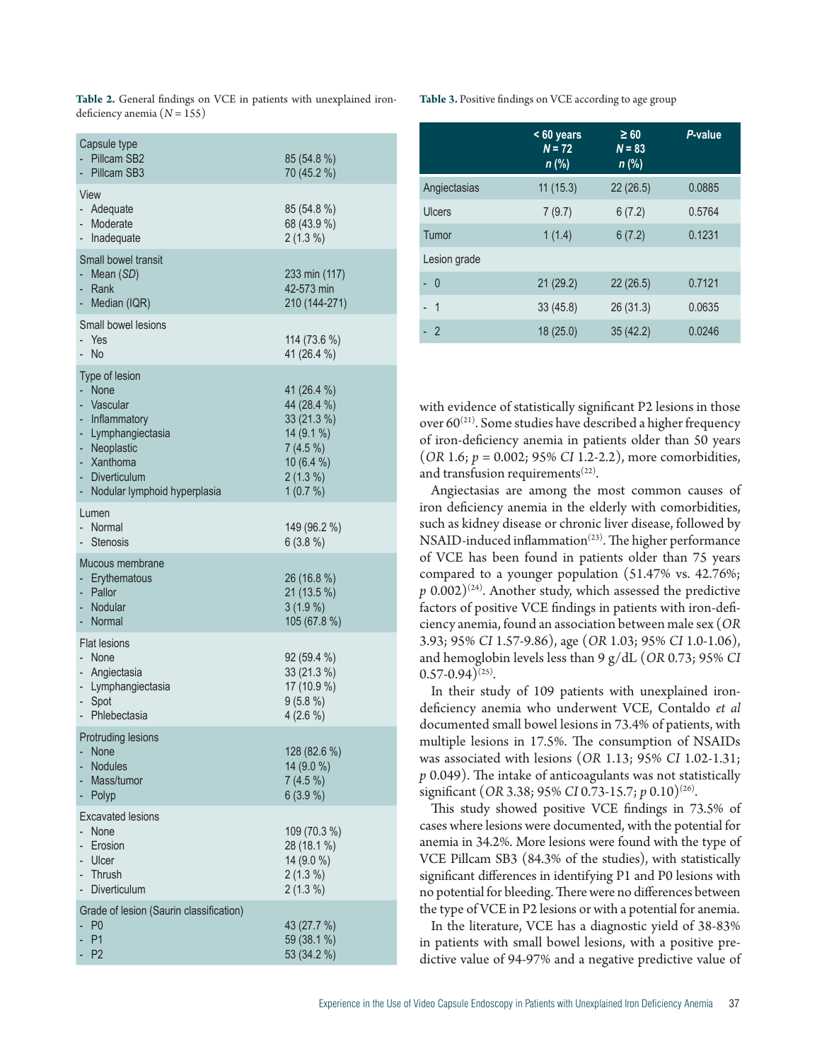| Table 2. General findings on VCE in patients with unexplained iron- |  |  |  |
|---------------------------------------------------------------------|--|--|--|
| deficiency anemia $(N = 155)$                                       |  |  |  |

| Capsule type<br>Pillcam SB2<br>Pillcam SB3                                                                                                            | 85 (54.8 %)<br>70 (45.2 %)                                                                                   |
|-------------------------------------------------------------------------------------------------------------------------------------------------------|--------------------------------------------------------------------------------------------------------------|
| View<br>Adequate<br>Moderate<br>Inadequate                                                                                                            | 85 (54.8 %)<br>68 (43.9 %)<br>$2(1.3\%)$                                                                     |
| Small bowel transit<br>Mean (SD)<br>Rank<br>Median (IQR)                                                                                              | 233 min (117)<br>42-573 min<br>210 (144-271)                                                                 |
| Small bowel lesions<br>Yes<br>No                                                                                                                      | 114 (73.6 %)<br>41 (26.4 %)                                                                                  |
| Type of lesion<br>None<br>Vascular<br>Inflammatory<br>Lymphangiectasia<br>Neoplastic<br>۰<br>Xanthoma<br>Diverticulum<br>Nodular lymphoid hyperplasia | 41 (26.4 %)<br>44 (28.4 %)<br>33 (21.3 %)<br>14 (9.1 %)<br>$7(4.5\%)$<br>10 (6.4 %)<br>$2(1.3\%)$<br>1(0.7%) |
| Lumen<br>Normal<br>Stenosis                                                                                                                           | 149 (96.2 %)<br>$6(3.8\%)$                                                                                   |
| Mucous membrane<br>Erythematous<br>Pallor<br>Nodular<br>Normal                                                                                        | 26 (16.8 %)<br>$21(13.5\%)$<br>$3(1.9\%)$<br>105 (67.8 %)                                                    |
| <b>Flat lesions</b><br>None<br>Angiectasia<br>- Lymphangiectasia<br>Spot<br>Phlebectasia                                                              | 92 (59.4 %)<br>33 (21.3 %)<br>17 (10.9 %)<br>$9(5.8\%)$<br>$4(2.6\%)$                                        |
| Protruding lesions<br><b>None</b><br><b>Nodules</b><br>Mass/tumor<br>Polyp                                                                            | 128 (82.6 %)<br>14 (9.0 %)<br>$7(4.5\%)$<br>6(3.9%                                                           |
| <b>Excavated lesions</b><br>None<br>Erosion<br>Ulcer<br>Thrush<br><b>Diverticulum</b>                                                                 | 109 (70.3 %)<br>28 (18.1 %)<br>14 (9.0 %)<br>$2(1.3\%)$<br>$2(1.3\%)$                                        |
| Grade of lesion (Saurin classification)<br>P <sub>0</sub><br>P <sub>1</sub><br>P <sub>2</sub>                                                         | 43 (27.7 %)<br>59 (38.1 %)<br>53 (34.2 %)                                                                    |

**Table 3.** Positive findings on VCE according to age group

|               | $< 60$ years<br>$N = 72$<br>$n$ (%) | $\geq 60$<br>$N = 83$<br>$n$ (%) | P-value |
|---------------|-------------------------------------|----------------------------------|---------|
| Angiectasias  | 11(15.3)                            | 22(26.5)                         | 0.0885  |
| <b>Ulcers</b> | 7(9.7)                              | 6(7.2)                           | 0.5764  |
| Tumor         | 1(1.4)                              | 6(7.2)                           | 0.1231  |
| Lesion grade  |                                     |                                  |         |
| - 0           | 21(29.2)                            | 22(26.5)                         | 0.7121  |
| - 1           | 33(45.8)                            | 26 (31.3)                        | 0.0635  |
| $-2$          | 18(25.0)                            | 35(42.2)                         | 0.0246  |

with evidence of statistically significant P2 lesions in those over  $60^{(21)}$ . Some studies have described a higher frequency of iron-deficiency anemia in patients older than 50 years (*OR* 1.6; *p* = 0.002; 95% *CI* 1.2-2.2), more comorbidities, and transfusion requirements $(22)$ .

Angiectasias are among the most common causes of iron deficiency anemia in the elderly with comorbidities, such as kidney disease or chronic liver disease, followed by NSAID-induced inflammation<sup> $(23)$ </sup>. The higher performance of VCE has been found in patients older than 75 years compared to a younger population (51.47% vs. 42.76%;  $p$  0.002)<sup>(24)</sup>. Another study, which assessed the predictive factors of positive VCE findings in patients with iron-deficiency anemia, found an association between male sex (*OR* 3.93; 95% *CI* 1.57-9.86), age (*OR* 1.03; 95% *CI* 1.0-1.06), and hemoglobin levels less than 9 g/dL (*OR* 0.73; 95% *CI*  $(0.57-0.94)^{(25)}$ .

In their study of 109 patients with unexplained irondeficiency anemia who underwent VCE, Contaldo *et al* documented small bowel lesions in 73.4% of patients, with multiple lesions in 17.5%. The consumption of NSAIDs was associated with lesions (*OR* 1.13; 95% *CI* 1.02-1.31; *p* 0.049). The intake of anticoagulants was not statistically significant (*OR* 3.38; 95% *CI* 0.73-15.7; *p* 0.10)(26).

This study showed positive VCE findings in 73.5% of cases where lesions were documented, with the potential for anemia in 34.2%. More lesions were found with the type of VCE Pillcam SB3 (84.3% of the studies), with statistically significant differences in identifying P1 and P0 lesions with no potential for bleeding. There were no differences between the type of VCE in P2 lesions or with a potential for anemia.

In the literature, VCE has a diagnostic yield of 38-83% in patients with small bowel lesions, with a positive predictive value of 94-97% and a negative predictive value of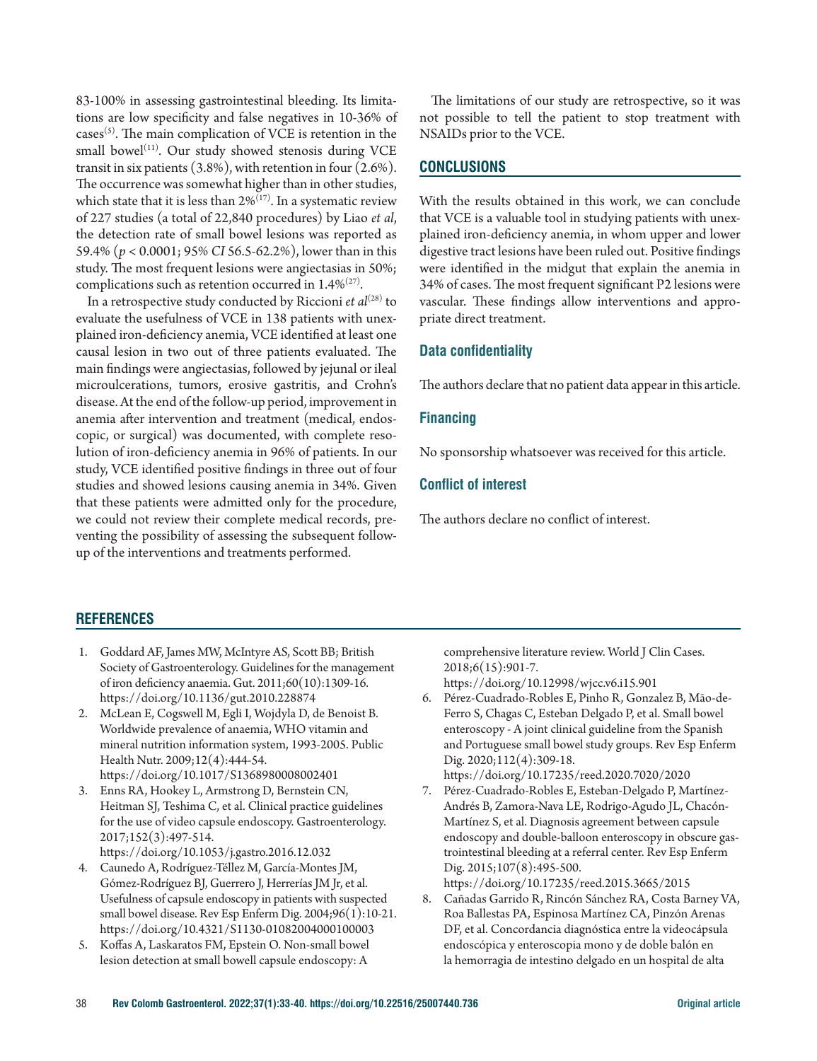83-100% in assessing gastrointestinal bleeding. Its limitations are low specificity and false negatives in 10-36% of  $cases<sup>(5)</sup>$ . The main complication of VCE is retention in the small bowel<sup>(11)</sup>. Our study showed stenosis during VCE transit in six patients (3.8%), with retention in four (2.6%). The occurrence was somewhat higher than in other studies, which state that it is less than  $2\%^{(17)}$ . In a systematic review of 227 studies (a total of 22,840 procedures) by Liao *et al*, the detection rate of small bowel lesions was reported as 59.4% (*p* < 0.0001; 95% *CI* 56.5-62.2%), lower than in this study. The most frequent lesions were angiectasias in 50%; complications such as retention occurred in  $1.4\%^{(27)}$ .

In a retrospective study conducted by Riccioni *et al*<sup>(28)</sup> to evaluate the usefulness of VCE in 138 patients with unexplained iron-deficiency anemia, VCE identified at least one causal lesion in two out of three patients evaluated. The main findings were angiectasias, followed by jejunal or ileal microulcerations, tumors, erosive gastritis, and Crohn's disease. At the end of the follow-up period, improvement in anemia after intervention and treatment (medical, endoscopic, or surgical) was documented, with complete resolution of iron-deficiency anemia in 96% of patients. In our study, VCE identified positive findings in three out of four studies and showed lesions causing anemia in 34%. Given that these patients were admitted only for the procedure, we could not review their complete medical records, preventing the possibility of assessing the subsequent followup of the interventions and treatments performed.

# **REFERENCES**

- 1. Goddard AF, James MW, McIntyre AS, Scott BB; British Society of Gastroenterology. Guidelines for the management of iron deficiency anaemia. Gut. 2011;60(10):1309-16. https://doi.org/10.1136/gut.2010.228874
- 2. McLean E, Cogswell M, Egli I, Wojdyla D, de Benoist B. Worldwide prevalence of anaemia, WHO vitamin and mineral nutrition information system, 1993-2005. Public Health Nutr. 2009;12(4):444-54. https://doi.org/10.1017/S1368980008002401
- 3. Enns RA, Hookey L, Armstrong D, Bernstein CN, Heitman SJ, Teshima C, et al. Clinical practice guidelines for the use of video capsule endoscopy. Gastroenterology. 2017;152(3):497-514. https://doi.org/10.1053/j.gastro.2016.12.032
- 4. Caunedo A, Rodríguez-Téllez M, García-Montes JM, Gómez-Rodríguez BJ, Guerrero J, Herrerías JM Jr, et al. Usefulness of capsule endoscopy in patients with suspected small bowel disease. Rev Esp Enferm Dig. 2004;96(1):10-21. https://doi.org/10.4321/S1130-01082004000100003
- 5. Koffas A, Laskaratos FM, Epstein O. Non-small bowel lesion detection at small bowell capsule endoscopy: A

The limitations of our study are retrospective, so it was not possible to tell the patient to stop treatment with NSAIDs prior to the VCE.

# **CONCLUSIONS**

With the results obtained in this work, we can conclude that VCE is a valuable tool in studying patients with unexplained iron-deficiency anemia, in whom upper and lower digestive tract lesions have been ruled out. Positive findings were identified in the midgut that explain the anemia in 34% of cases. The most frequent significant P2 lesions were vascular. These findings allow interventions and appropriate direct treatment.

### **Data confidentiality**

The authors declare that no patient data appear in this article.

#### **Financing**

No sponsorship whatsoever was received for this article.

# **Conflict of interest**

The authors declare no conflict of interest.

comprehensive literature review. World J Clin Cases. 2018;6(15):901-7.

https://doi.org/10.12998/wjcc.v6.i15.901

- 6. Pérez-Cuadrado-Robles E, Pinho R, Gonzalez B, Mão-de-Ferro S, Chagas C, Esteban Delgado P, et al. Small bowel enteroscopy - A joint clinical guideline from the Spanish and Portuguese small bowel study groups. Rev Esp Enferm Dig. 2020;112(4):309-18.
- https://doi.org/10.17235/reed.2020.7020/2020 7. Pérez-Cuadrado-Robles E, Esteban-Delgado P, Martínez-Andrés B, Zamora-Nava LE, Rodrigo-Agudo JL, Chacón-Martínez S, et al. Diagnosis agreement between capsule endoscopy and double-balloon enteroscopy in obscure gas-

trointestinal bleeding at a referral center. Rev Esp Enferm Dig. 2015;107(8):495-500. https://doi.org/10.17235/reed.2015.3665/2015

8. Cañadas Garrido R, Rincón Sánchez RA, Costa Barney VA, Roa Ballestas PA, Espinosa Martínez CA, Pinzón Arenas DF, et al. Concordancia diagnóstica entre la videocápsula endoscópica y enteroscopia mono y de doble balón en la hemorragia de intestino delgado en un hospital de alta